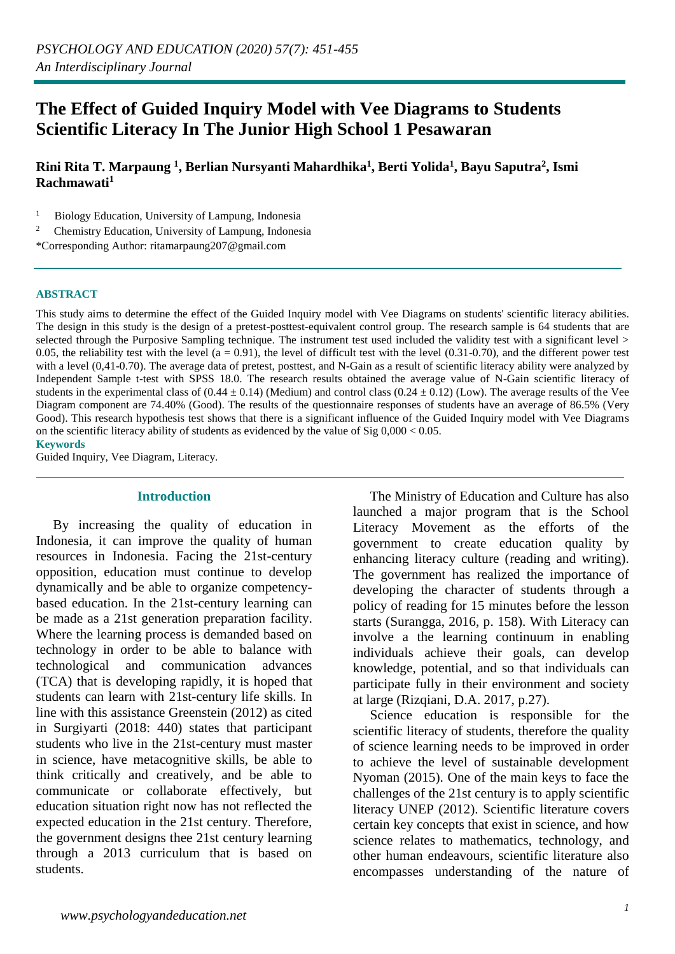# **The Effect of Guided Inquiry Model with Vee Diagrams to Students Scientific Literacy In The Junior High School 1 Pesawaran**

**Rini Rita T. Marpaung <sup>1</sup> , Berlian Nursyanti Mahardhika<sup>1</sup> , Berti Yolida<sup>1</sup> , Bayu Saputra<sup>2</sup> , Ismi Rachmawati<sup>1</sup>**

 $1$  Biology Education, University of Lampung, Indonesia

2 Chemistry Education, University of Lampung, Indonesia

\*Corresponding Author: ritamarpaung207@gmail.com

#### **ABSTRACT**

This study aims to determine the effect of the Guided Inquiry model with Vee Diagrams on students' scientific literacy abilities. The design in this study is the design of a pretest-posttest-equivalent control group. The research sample is 64 students that are selected through the Purposive Sampling technique. The instrument test used included the validity test with a significant level > 0.05, the reliability test with the level ( $a = 0.91$ ), the level of difficult test with the level (0.31-0.70), and the different power test with a level (0,41-0.70). The average data of pretest, posttest, and N-Gain as a result of scientific literacy ability were analyzed by Independent Sample t-test with SPSS 18.0. The research results obtained the average value of N-Gain scientific literacy of students in the experimental class of (0.44  $\pm$  0.14) (Medium) and control class (0.24  $\pm$  0.12) (Low). The average results of the Vee Diagram component are 74.40% (Good). The results of the questionnaire responses of students have an average of 86.5% (Very Good). This research hypothesis test shows that there is a significant influence of the Guided Inquiry model with Vee Diagrams on the scientific literacy ability of students as evidenced by the value of  $\text{Sig } 0.000 \leq 0.05$ .

**Keywords**

Guided Inquiry, Vee Diagram, Literacy.

#### **Introduction**

 By increasing the quality of education in Indonesia, it can improve the quality of human resources in Indonesia. Facing the 21st-century opposition, education must continue to develop dynamically and be able to organize competencybased education. In the 21st-century learning can be made as a 21st generation preparation facility. Where the learning process is demanded based on technology in order to be able to balance with technological and communication advances (TCA) that is developing rapidly, it is hoped that students can learn with 21st-century life skills. In line with this assistance Greenstein (2012) as cited in Surgiyarti (2018: 440) states that participant students who live in the 21st-century must master in science, have metacognitive skills, be able to think critically and creatively, and be able to communicate or collaborate effectively, but education situation right now has not reflected the expected education in the 21st century. Therefore, the government designs thee 21st century learning through a 2013 curriculum that is based on students.

 The Ministry of Education and Culture has also launched a major program that is the School Literacy Movement as the efforts of the government to create education quality by enhancing literacy culture (reading and writing). The government has realized the importance of developing the character of students through a policy of reading for 15 minutes before the lesson starts (Surangga, 2016, p. 158). With Literacy can involve a the learning continuum in enabling individuals achieve their goals, can develop knowledge, potential, and so that individuals can participate fully in their environment and society at large (Rizqiani, D.A. 2017, p.27).

 Science education is responsible for the scientific literacy of students, therefore the quality of science learning needs to be improved in order to achieve the level of sustainable development Nyoman (2015). One of the main keys to face the challenges of the 21st century is to apply scientific literacy UNEP (2012). Scientific literature covers certain key concepts that exist in science, and how science relates to mathematics, technology, and other human endeavours, scientific literature also encompasses understanding of the nature of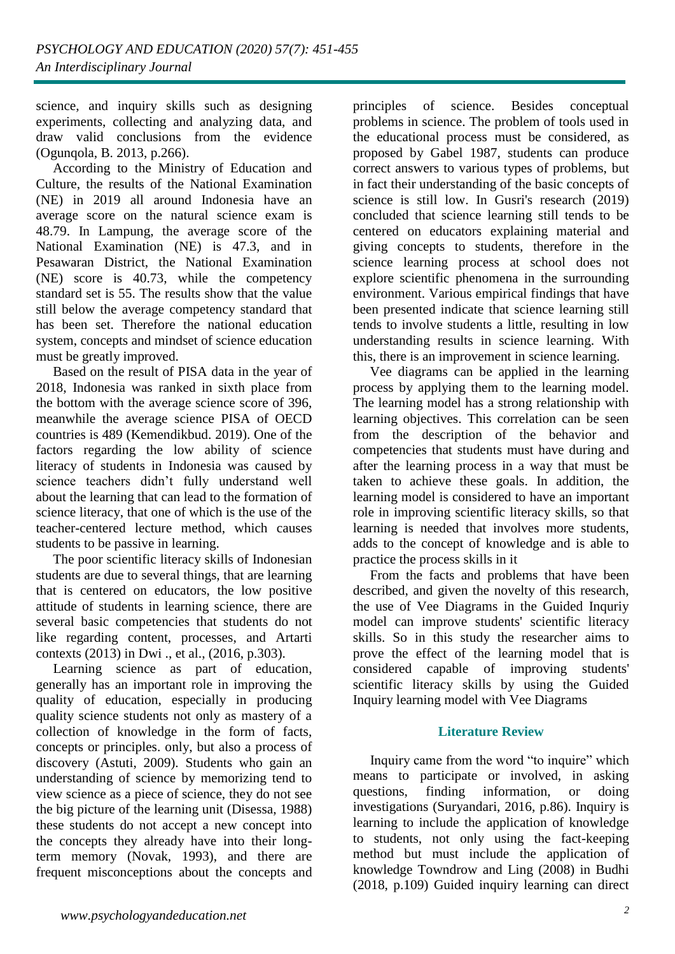science, and inquiry skills such as designing experiments, collecting and analyzing data, and draw valid conclusions from the evidence (Ogunqola, B. 2013, p.266).

 According to the Ministry of Education and Culture, the results of the National Examination (NE) in 2019 all around Indonesia have an average score on the natural science exam is 48.79. In Lampung, the average score of the National Examination (NE) is 47.3, and in Pesawaran District, the National Examination (NE) score is 40.73, while the competency standard set is 55. The results show that the value still below the average competency standard that has been set. Therefore the national education system, concepts and mindset of science education must be greatly improved.

 Based on the result of PISA data in the year of 2018, Indonesia was ranked in sixth place from the bottom with the average science score of 396, meanwhile the average science PISA of OECD countries is 489 (Kemendikbud. 2019). One of the factors regarding the low ability of science literacy of students in Indonesia was caused by science teachers didn't fully understand well about the learning that can lead to the formation of science literacy, that one of which is the use of the teacher-centered lecture method, which causes students to be passive in learning.

 The poor scientific literacy skills of Indonesian students are due to several things, that are learning that is centered on educators, the low positive attitude of students in learning science, there are several basic competencies that students do not like regarding content, processes, and Artarti contexts (2013) in Dwi ., et al., (2016, p.303).

 Learning science as part of education, generally has an important role in improving the quality of education, especially in producing quality science students not only as mastery of a collection of knowledge in the form of facts, concepts or principles. only, but also a process of discovery (Astuti, 2009). Students who gain an understanding of science by memorizing tend to view science as a piece of science, they do not see the big picture of the learning unit (Disessa, 1988) these students do not accept a new concept into the concepts they already have into their longterm memory (Novak, 1993), and there are frequent misconceptions about the concepts and

principles of science. Besides conceptual problems in science. The problem of tools used in the educational process must be considered, as proposed by Gabel 1987, students can produce correct answers to various types of problems, but in fact their understanding of the basic concepts of science is still low. In Gusri's research (2019) concluded that science learning still tends to be centered on educators explaining material and giving concepts to students, therefore in the science learning process at school does not explore scientific phenomena in the surrounding environment. Various empirical findings that have been presented indicate that science learning still tends to involve students a little, resulting in low understanding results in science learning. With this, there is an improvement in science learning.

 Vee diagrams can be applied in the learning process by applying them to the learning model. The learning model has a strong relationship with learning objectives. This correlation can be seen from the description of the behavior and competencies that students must have during and after the learning process in a way that must be taken to achieve these goals. In addition, the learning model is considered to have an important role in improving scientific literacy skills, so that learning is needed that involves more students, adds to the concept of knowledge and is able to practice the process skills in it

 From the facts and problems that have been described, and given the novelty of this research, the use of Vee Diagrams in the Guided Inquriy model can improve students' scientific literacy skills. So in this study the researcher aims to prove the effect of the learning model that is considered capable of improving students' scientific literacy skills by using the Guided Inquiry learning model with Vee Diagrams

# **Literature Review**

 Inquiry came from the word "to inquire" which means to participate or involved, in asking questions, finding information, or doing investigations (Suryandari, 2016, p.86). Inquiry is learning to include the application of knowledge to students, not only using the fact-keeping method but must include the application of knowledge Towndrow and Ling (2008) in Budhi (2018, p.109) Guided inquiry learning can direct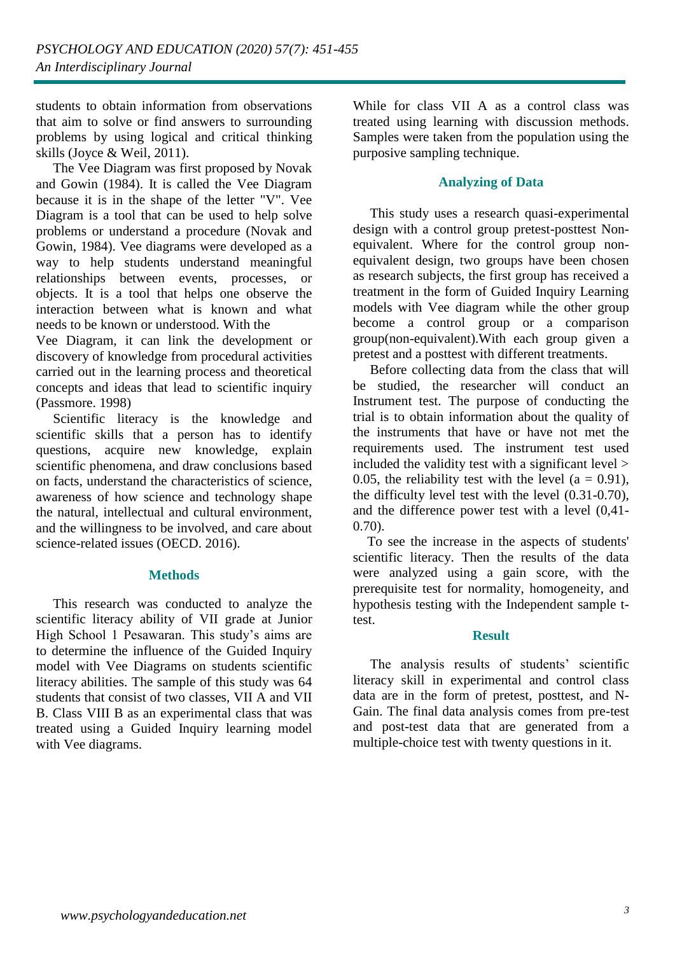students to obtain information from observations that aim to solve or find answers to surrounding problems by using logical and critical thinking skills (Joyce & Weil, 2011).

 The Vee Diagram was first proposed by Novak and Gowin (1984). It is called the Vee Diagram because it is in the shape of the letter "V". Vee Diagram is a tool that can be used to help solve problems or understand a procedure (Novak and Gowin, 1984). Vee diagrams were developed as a way to help students understand meaningful relationships between events, processes, or objects. It is a tool that helps one observe the interaction between what is known and what needs to be known or understood. With the

Vee Diagram, it can link the development or discovery of knowledge from procedural activities carried out in the learning process and theoretical concepts and ideas that lead to scientific inquiry (Passmore. 1998)

 Scientific literacy is the knowledge and scientific skills that a person has to identify questions, acquire new knowledge, explain scientific phenomena, and draw conclusions based on facts, understand the characteristics of science, awareness of how science and technology shape the natural, intellectual and cultural environment, and the willingness to be involved, and care about science-related issues (OECD. 2016).

#### **Methods**

 This research was conducted to analyze the scientific literacy ability of VII grade at Junior High School 1 Pesawaran. This study's aims are to determine the influence of the Guided Inquiry model with Vee Diagrams on students scientific literacy abilities. The sample of this study was 64 students that consist of two classes, VII A and VII B. Class VIII B as an experimental class that was treated using a Guided Inquiry learning model with Vee diagrams.

While for class VII A as a control class was treated using learning with discussion methods. Samples were taken from the population using the purposive sampling technique.

### **Analyzing of Data**

 This study uses a research quasi-experimental design with a control group pretest-posttest Nonequivalent. Where for the control group nonequivalent design, two groups have been chosen as research subjects, the first group has received a treatment in the form of Guided Inquiry Learning models with Vee diagram while the other group become a control group or a comparison group(non-equivalent).With each group given a pretest and a posttest with different treatments.

 Before collecting data from the class that will be studied, the researcher will conduct an Instrument test. The purpose of conducting the trial is to obtain information about the quality of the instruments that have or have not met the requirements used. The instrument test used included the validity test with a significant level > 0.05, the reliability test with the level  $(a = 0.91)$ , the difficulty level test with the level (0.31-0.70), and the difference power test with a level (0,41- 0.70).

 To see the increase in the aspects of students' scientific literacy. Then the results of the data were analyzed using a gain score, with the prerequisite test for normality, homogeneity, and hypothesis testing with the Independent sample ttest.

# **Result**

 The analysis results of students' scientific literacy skill in experimental and control class data are in the form of pretest, posttest, and N-Gain. The final data analysis comes from pre-test and post-test data that are generated from a multiple-choice test with twenty questions in it.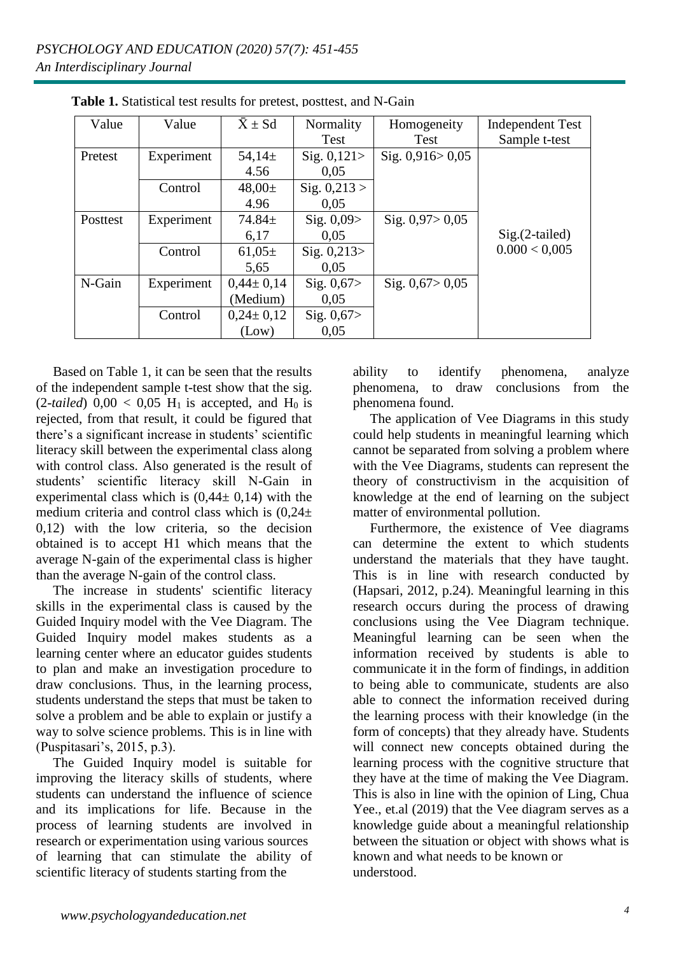| Value    | Value      | $\bar{X} \pm Sd$ | Normality      | Homogeneity         | <b>Independent Test</b> |
|----------|------------|------------------|----------------|---------------------|-------------------------|
|          |            |                  | Test           | Test                | Sample t-test           |
| Pretest  | Experiment | 54,14 $\pm$      | Sig. $0,121$   | Sig. $0,916 > 0,05$ |                         |
|          |            | 4.56             | 0,05           |                     |                         |
|          | Control    | $48,00 \pm$      | Sig. $0,213 >$ |                     |                         |
|          |            | 4.96             | 0.05           |                     |                         |
| Posttest | Experiment | $74.84 \pm$      | Sig. $0,09$    | Sig. $0,97 > 0,05$  |                         |
|          |            | 6,17             | 0,05           |                     | $Sig.(2-tailed)$        |
|          | Control    | $61,05\pm$       | Sig. $0,213$   |                     | 0.000 < 0.005           |
|          |            | 5.65             | 0.05           |                     |                         |
| N-Gain   | Experiment | $0,44 \pm 0,14$  | Sig. $0,67$    | Sig. $0,67 > 0,05$  |                         |
|          |            | (Medium)         | 0.05           |                     |                         |
|          | Control    | $0,24 \pm 0,12$  | Sig. $0,67$    |                     |                         |
|          |            | (Low)            | 0.05           |                     |                         |

Table 1. Statistical test results for pretest, posttest, and N-Gain

 Based on Table 1, it can be seen that the results of the independent sample t-test show that the sig.  $(2-tailed)$   $0,00 < 0,05$  H<sub>1</sub> is accepted, and H<sub>0</sub> is rejected, from that result, it could be figured that there's a significant increase in students' scientific literacy skill between the experimental class along with control class. Also generated is the result of students' scientific literacy skill N-Gain in experimental class which is  $(0.44 \pm 0.14)$  with the medium criteria and control class which is  $(0.24+$ 0,12) with the low criteria, so the decision obtained is to accept H1 which means that the average N-gain of the experimental class is higher than the average N-gain of the control class.

 The increase in students' scientific literacy skills in the experimental class is caused by the Guided Inquiry model with the Vee Diagram. The Guided Inquiry model makes students as a learning center where an educator guides students to plan and make an investigation procedure to draw conclusions. Thus, in the learning process, students understand the steps that must be taken to solve a problem and be able to explain or justify a way to solve science problems. This is in line with (Puspitasari's, 2015, p.3).

 The Guided Inquiry model is suitable for improving the literacy skills of students, where students can understand the influence of science and its implications for life. Because in the process of learning students are involved in research or experimentation using various sources of learning that can stimulate the ability of scientific literacy of students starting from the

ability to identify phenomena, analyze phenomena, to draw conclusions from the phenomena found.

 The application of Vee Diagrams in this study could help students in meaningful learning which cannot be separated from solving a problem where with the Vee Diagrams, students can represent the theory of constructivism in the acquisition of knowledge at the end of learning on the subject matter of environmental pollution.

 Furthermore, the existence of Vee diagrams can determine the extent to which students understand the materials that they have taught. This is in line with research conducted by (Hapsari, 2012, p.24). Meaningful learning in this research occurs during the process of drawing conclusions using the Vee Diagram technique. Meaningful learning can be seen when the information received by students is able to communicate it in the form of findings, in addition to being able to communicate, students are also able to connect the information received during the learning process with their knowledge (in the form of concepts) that they already have. Students will connect new concepts obtained during the learning process with the cognitive structure that they have at the time of making the Vee Diagram. This is also in line with the opinion of Ling, Chua Yee., et.al (2019) that the Vee diagram serves as a knowledge guide about a meaningful relationship between the situation or object with shows what is known and what needs to be known or understood.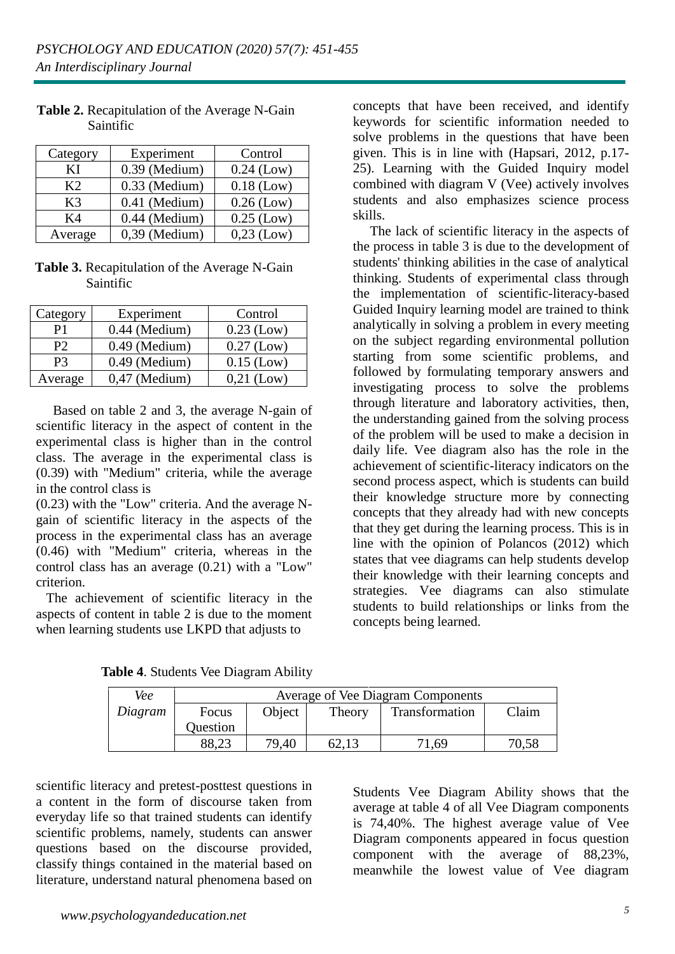| Category       | Experiment      | Control      |
|----------------|-----------------|--------------|
| ΚI             | 0.39 (Medium)   | $0.24$ (Low) |
| K <sub>2</sub> | $0.33$ (Medium) | $0.18$ (Low) |
| K3             | 0.41 (Medium)   | $0.26$ (Low) |
| K4             | 0.44 (Medium)   | $0.25$ (Low) |
| Average        | $0.39$ (Medium) | $0,23$ (Low) |

**Table 2.** Recapitulation of the Average N-Gain Saintific

#### Table 3. Recapitulation of the Average N-Gain **Table 2.**  $\alpha$ Saintific

| Category       | Experiment      | Control      |
|----------------|-----------------|--------------|
| P1             | $0.44$ (Medium) | $0.23$ (Low) |
| P <sub>2</sub> | $0.49$ (Medium) | $0.27$ (Low) |
| P3             | $0.49$ (Medium) | $0.15$ (Low) |
| Average        | $0,47$ (Medium) | $0,21$ (Low) |

 Based on table 2 and 3, the average N-gain of scientific literacy in the aspect of content in the experimental class is higher than in the control class. The average in the experimental class is (0.39) with "Medium" criteria, while the average in the control class is

(0.23) with the "Low" criteria. And the average Ngain of scientific literacy in the aspects of the process in the experimental class has an average (0.46) with "Medium" criteria, whereas in the control class has an average (0.21) with a "Low" criterion.

 The achievement of scientific literacy in the aspects of content in table 2 is due to the moment when learning students use LKPD that adjusts to

concepts that have been received, and identify keywords for scientific information needed to solve problems in the questions that have been given. This is in line with (Hapsari, 2012, p.17- 25). Learning with the Guided Inquiry model combined with diagram V (Vee) actively involves students and also emphasizes science process skills.

 The lack of scientific literacy in the aspects of the process in table 3 is due to the development of students' thinking abilities in the case of analytical thinking. Students of experimental class through the implementation of scientific-literacy-based Guided Inquiry learning model are trained to think analytically in solving a problem in every meeting on the subject regarding environmental pollution starting from some scientific problems, and followed by formulating temporary answers and investigating process to solve the problems through literature and laboratory activities, then, the understanding gained from the solving process of the problem will be used to make a decision in daily life. Vee diagram also has the role in the achievement of scientific-literacy indicators on the second process aspect, which is students can build their knowledge structure more by connecting concepts that they already had with new concepts that they get during the learning process. This is in line with the opinion of Polancos (2012) which states that vee diagrams can help students develop their knowledge with their learning concepts and strategies. Vee diagrams can also stimulate students to build relationships or links from the concepts being learned.

| Vee     | Average of Vee Diagram Components |        |        |                |       |
|---------|-----------------------------------|--------|--------|----------------|-------|
| Diagram | Focus                             | Object | Theory | Transformation | Claim |
|         | Question                          |        |        |                |       |
|         | 88,23                             | 79.40  | 62,13  | .69            | 70,58 |

**Table 4**. Students Vee Diagram Ability

scientific literacy and pretest-posttest questions in a content in the form of discourse taken from everyday life so that trained students can identify scientific problems, namely, students can answer questions based on the discourse provided, classify things contained in the material based on literature, understand natural phenomena based on

Students Vee Diagram Ability shows that the average at table 4 of all Vee Diagram components is 74,40%. The highest average value of Vee Diagram components appeared in focus question component with the average of 88,23%, meanwhile the lowest value of Vee diagram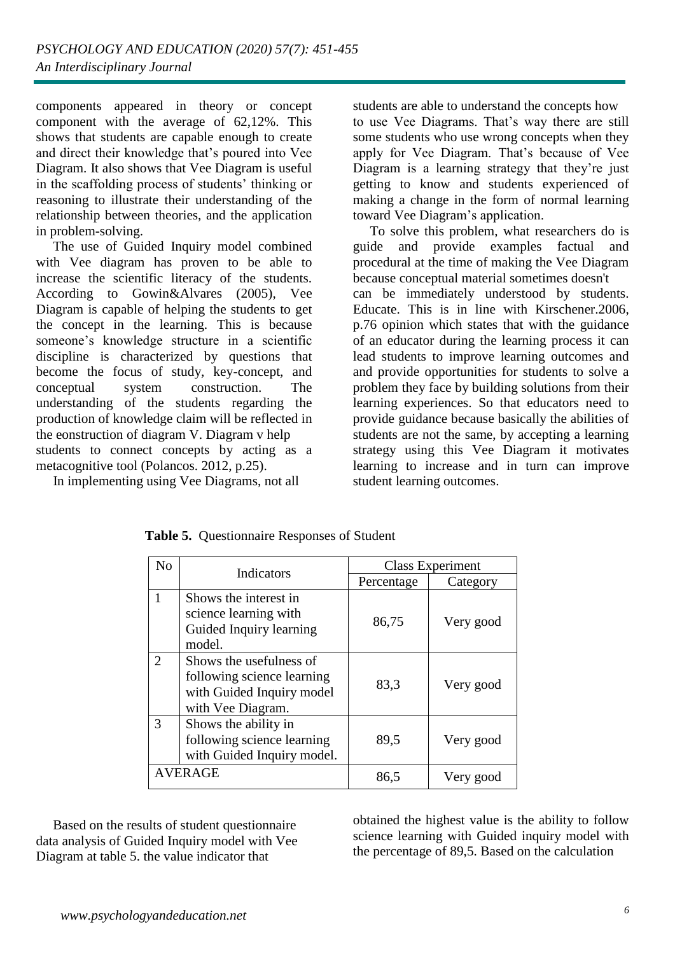components appeared in theory or concept component with the average of 62,12%. This shows that students are capable enough to create and direct their knowledge that's poured into Vee Diagram. It also shows that Vee Diagram is useful in the scaffolding process of students' thinking or reasoning to illustrate their understanding of the relationship between theories, and the application in problem-solving.

 The use of Guided Inquiry model combined with Vee diagram has proven to be able to increase the scientific literacy of the students. According to Gowin&Alvares (2005), Vee Diagram is capable of helping the students to get the concept in the learning. This is because someone's knowledge structure in a scientific discipline is characterized by questions that become the focus of study, key-concept, and conceptual system construction. The understanding of the students regarding the production of knowledge claim will be reflected in the eonstruction of diagram V. Diagram v help students to connect concepts by acting as a

metacognitive tool (Polancos. 2012, p.25).

In implementing using Vee Diagrams, not all

students are able to understand the concepts how to use Vee Diagrams. That's way there are still some students who use wrong concepts when they apply for Vee Diagram. That's because of Vee Diagram is a learning strategy that they're just getting to know and students experienced of making a change in the form of normal learning toward Vee Diagram's application.

 To solve this problem, what researchers do is guide and provide examples factual and procedural at the time of making the Vee Diagram because conceptual material sometimes doesn't can be immediately understood by students. Educate. This is in line with Kirschener.2006, p.76 opinion which states that with the guidance of an educator during the learning process it can lead students to improve learning outcomes and and provide opportunities for students to solve a problem they face by building solutions from their learning experiences. So that educators need to provide guidance because basically the abilities of students are not the same, by accepting a learning strategy using this Vee Diagram it motivates learning to increase and in turn can improve student learning outcomes.

| N <sub>o</sub> | Indicators                                                                                              | <b>Class Experiment</b> |           |
|----------------|---------------------------------------------------------------------------------------------------------|-------------------------|-----------|
|                |                                                                                                         | Percentage              | Category  |
|                | Shows the interest in<br>science learning with<br>Guided Inquiry learning<br>model.                     | 86,75                   | Very good |
| 2              | Shows the usefulness of<br>following science learning<br>with Guided Inquiry model<br>with Vee Diagram. | 83,3                    | Very good |
| 3              | Shows the ability in<br>following science learning<br>with Guided Inquiry model.                        | 89,5                    | Very good |
|                | <b>AVERAGE</b>                                                                                          | 86,5                    | Very good |

 Based on the results of student questionnaire data analysis of Guided Inquiry model with Vee Diagram at table 5. the value indicator that

obtained the highest value is the ability to follow science learning with Guided inquiry model with the percentage of 89,5. Based on the calculation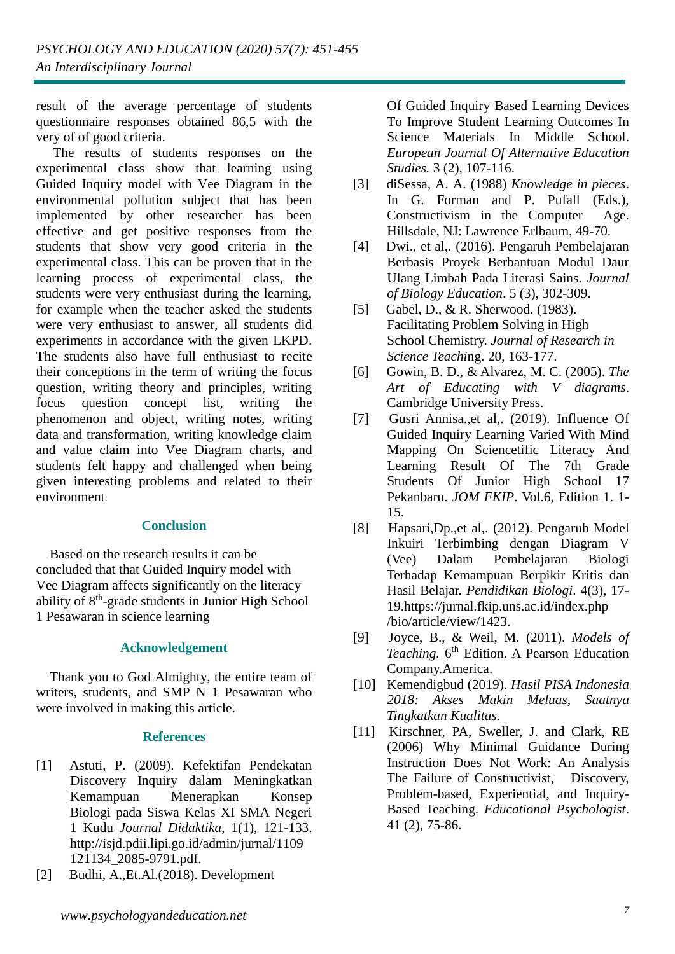result of the average percentage of students questionnaire responses obtained 86,5 with the very of of good criteria.

 The results of students responses on the experimental class show that learning using Guided Inquiry model with Vee Diagram in the environmental pollution subject that has been implemented by other researcher has been effective and get positive responses from the students that show very good criteria in the experimental class. This can be proven that in the learning process of experimental class, the students were very enthusiast during the learning, for example when the teacher asked the students were very enthusiast to answer, all students did experiments in accordance with the given LKPD. The students also have full enthusiast to recite their conceptions in the term of writing the focus question, writing theory and principles, writing focus question concept list, writing the phenomenon and object, writing notes, writing data and transformation, writing knowledge claim and value claim into Vee Diagram charts, and students felt happy and challenged when being given interesting problems and related to their environment.

#### **Conclusion**

 Based on the research results it can be concluded that that Guided Inquiry model with Vee Diagram affects significantly on the literacy ability of 8<sup>th</sup>-grade students in Junior High School 1 Pesawaran in science learning

# **Acknowledgement**

 Thank you to God Almighty, the entire team of writers, students, and SMP N 1 Pesawaran who were involved in making this article.

# **References**

- [1] Astuti, P. (2009). Kefektifan Pendekatan Discovery Inquiry dalam Meningkatkan Kemampuan Menerapkan Konsep Biologi pada Siswa Kelas XI SMA Negeri 1 Kudu *Journal Didaktika*, 1(1), 121-133. [http://isjd.pdii.lipi.go.id/admin/jurnal/1109](http://isjd.pdii.lipi.go.id/admin/jurnal/1109%0b%20%20%20%20%20%20%20%20%20%20121134_2085-9791.pdf)  [121134\\_2085-9791.pdf.](http://isjd.pdii.lipi.go.id/admin/jurnal/1109%0b%20%20%20%20%20%20%20%20%20%20121134_2085-9791.pdf)
- [2] Budhi, A.,Et.Al.(2018). Development

 Of Guided Inquiry Based Learning Devices To Improve Student Learning Outcomes In Science Materials In Middle School. *European Journal Of Alternative Education Studies.* 3 (2), 107-116.

- [3] diSessa, A. A. (1988) *Knowledge in pieces*. In G. Forman and P. Pufall (Eds.), Constructivism in the Computer Age. Hillsdale, NJ: Lawrence Erlbaum, 49-70.
- [4] Dwi., et al,. (2016). Pengaruh Pembelajaran Berbasis Proyek Berbantuan Modul Daur Ulang Limbah Pada Literasi Sains. *Journal of Biology Education*. 5 (3), 302-309.
- [5] Gabel, D., & R. Sherwood. (1983). Facilitating Problem Solving in High School Chemistry. *Journal of Research in Science Teachi*ng. 20, 163-177.
- [6] Gowin, B. D., & Alvarez, M. C. (2005). *The Art of Educating with V diagrams*. Cambridge University Press.
- [7] Gusri Annisa.,et al,. (2019). Influence Of Guided Inquiry Learning Varied With Mind Mapping On Sciencetific Literacy And Learning Result Of The 7th Grade Students Of Junior High School 17 Pekanbaru. *JOM FKIP*. Vol.6, Edition 1. 1- 15.
- [8] Hapsari,Dp.,et al,. (2012). Pengaruh Model Inkuiri Terbimbing dengan Diagram V (Vee) Dalam Pembelajaran Biologi Terhadap Kemampuan Berpikir Kritis dan Hasil Belajar. *Pendidikan Biologi*. 4(3), 17- 19[.https://jurnal.fkip.uns.ac.id/index.php](https://jurnal.fkip.uns.ac.id/index.php%0b%20%20%20%20%20%20%20%20%20%20/bio/article/view/1423)  [/bio/article/view/1423.](https://jurnal.fkip.uns.ac.id/index.php%0b%20%20%20%20%20%20%20%20%20%20/bio/article/view/1423)
- [9] Joyce, B., & Weil, M. (2011). *Models of*  Teaching. 6<sup>th</sup> Edition. A Pearson Education Company.America.
- [10] Kemendigbud (2019). *Hasil PISA Indonesia 2018: Akses Makin Meluas, Saatnya Tingkatkan Kualitas.*
- [11] Kirschner, PA, Sweller, J. and Clark, RE (2006) Why Minimal Guidance During Instruction Does Not Work: An Analysis The Failure of Constructivist, Discovery, Problem-based, Experiential, and Inquiry- Based Teaching. *Educational Psychologist*. 41 (2), 75-86.